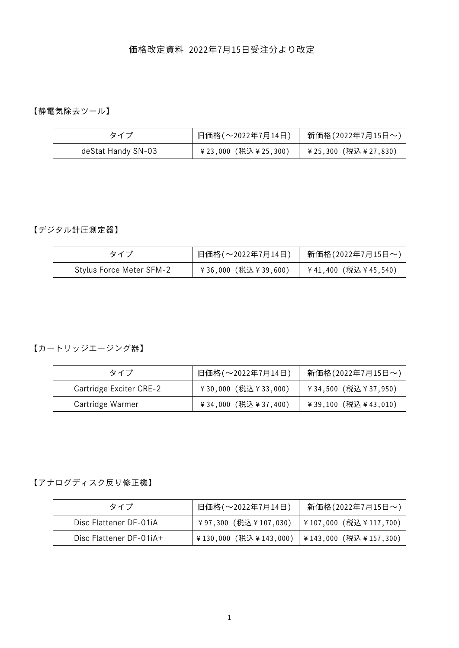## 価格改定資料 2022年7月15日受注分より改定

【静電気除去ツール】

| タイプ                | 旧価格(~2022年7月14日)   | 新価格(2022年7月15日~)   |
|--------------------|--------------------|--------------------|
| deStat Handy SN-03 | ¥23,000(税込¥25,300) | ¥25,300(税込¥27,830) |

#### 【デジタル針圧測定器】

| タイプ                             | 旧価格(~2022年7月14日)    | 新価格(2022年7月15日~)     |
|---------------------------------|---------------------|----------------------|
| <b>Stylus Force Meter SFM-2</b> | ¥36,000 (税込¥39,600) | ¥41,400 (税込 ¥45,540) |

【カートリッジエージング器】

| タイプ                     | 旧価格(~2022年7月14日)       | 新価格(2022年7月15日~)    |
|-------------------------|------------------------|---------------------|
| Cartridge Exciter CRE-2 | ¥30,000 (税込¥33,000)    | ¥34,500 (税込¥37,950) |
| Cartridge Warmer        | ¥ 34,000 (税込 ¥ 37,400) | ¥39,100 (税込¥43,010) |

#### 【アナログディスク反り修正機】

| タイプ                     | 旧価格(~2022年7月14日)                           | 新価格(2022年7月15日~)       |
|-------------------------|--------------------------------------------|------------------------|
| Disc Flattener DF-01iA  | ¥97,300(税込¥107,030)                        | │¥107,000 (税込¥117,700) |
| Disc Flattener DF-01iA+ | ¥130,000(税込¥143,000)  ¥143,000(税込¥157,300) |                        |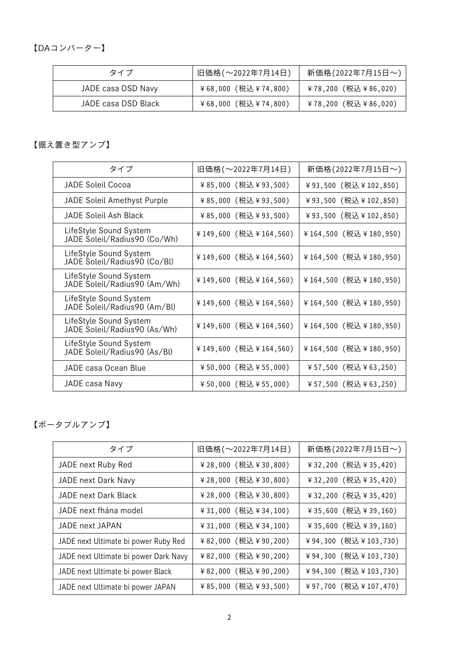【DAコンバーター】

| タイプ                 | 旧価格(~2022年7月14日)    | 新価格(2022年7月15日~)    |
|---------------------|---------------------|---------------------|
| JADE casa DSD Navy  | ¥68,000 (税込¥74,800) | ¥78,200 (税込¥86,020) |
| JADE casa DSD Black | ¥68,000 (税込¥74,800) | ¥78,200 (税込¥86,020) |

### 【据え置き型アンプ】

| タイプ                                                    | 旧価格(~2022年7月14日)       | 新価格(2022年7月15日~)      |
|--------------------------------------------------------|------------------------|-----------------------|
| JADE Soleil Cocoa                                      | ¥85,000 (税込¥93,500)    | ¥93,500 (税込¥102,850)  |
| <b>JADE Soleil Amethyst Purple</b>                     | ¥85,000(税込¥93,500)     | ¥93,500 (税込¥102,850)  |
| JADE Soleil Ash Black                                  | ¥85,000(税込¥93,500)     | ¥93,500 (税込¥102,850)  |
| LifeStyle Sound System<br>JADE Soleil/Radius90 (Co/Wh) | ¥149,600 (税込¥164,560)  | ¥164,500 (税込¥180,950) |
| LifeStyle Sound System<br>JADE Soleil/Radius90 (Co/Bl) | ¥149,600 (税込 ¥164,560) | ¥164,500 (税込¥180,950) |
| LifeStyle Sound System<br>JADE Soleil/Radius90 (Am/Wh) | ¥149,600 (税込 ¥164,560) | ¥164,500 (税込¥180,950) |
| LifeStyle Sound System<br>JADE Soleil/Radius90 (Am/Bl) | ¥149,600 (税込 ¥164,560) | ¥164,500 (税込¥180,950) |
| LifeStyle Sound System<br>JADE Soleil/Radius90 (As/Wh) | ¥149,600 (税込 ¥164,560) | ¥164,500 (税込¥180,950) |
| LifeStyle Sound System<br>JADE Soleil/Radius90 (As/Bl) | ¥149,600 (税込 ¥164,560) | ¥164,500 (税込¥180,950) |
| JADE casa Ocean Blue                                   | ¥50,000(税込¥55,000)     | ¥57,500 (税込¥63,250)   |
| JADE casa Navy                                         | ¥50,000(税込¥55,000)     | ¥57,500 (税込¥63,250)   |

【ポータブルアンプ】

| タイプ                                   | 旧価格(~2022年7月14日)       | 新価格(2022年7月15日~)       |
|---------------------------------------|------------------------|------------------------|
| JADE next Ruby Red                    | ¥ 28,000 (税込 ¥ 30,800) | ¥ 32,200 (税込 ¥ 35,420) |
| JADE next Dark Navy                   | ¥ 28,000 (税込 ¥ 30,800) | ¥ 32,200 (税込 ¥ 35,420) |
| JADE next Dark Black                  | ¥ 28,000 (税込 ¥ 30,800) | ¥ 32,200 (税込 ¥ 35,420) |
| JADE next fhána model                 | ¥ 31,000 (税込 ¥ 34,100) | ¥ 35,600 (税込 ¥ 39,160) |
| JADE next JAPAN                       | ¥ 31,000 (税込 ¥ 34,100) | ¥ 35,600 (税込 ¥ 39,160) |
| JADE next Ultimate bi power Ruby Red  | ¥82,000 (税込¥90,200)    | ¥94,300 (税込¥103,730)   |
| JADE next Ultimate bi power Dark Navy | ¥82,000 (税込¥90,200)    | ¥94,300 (税込¥103,730)   |
| JADE next Ultimate bi power Black     | ¥ 82,000 (税込 ¥ 90,200) | ¥94,300 (税込¥103,730)   |
| JADE next Ultimate bi power JAPAN     | ¥85,000(税込¥93,500)     | ¥97,700 (税込¥107,470)   |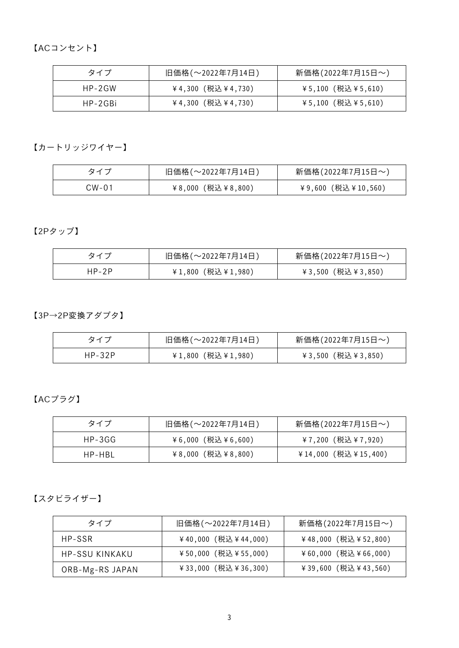【ACコンセント】

| タイプ     | 旧価格(~2022年7月14日)   | 新価格(2022年7月15日~)  |
|---------|--------------------|-------------------|
| HP-2GW  | ¥4,300 (税込¥4,730)  | ¥5,100 (税込¥5,610) |
| HP-2GBi | ¥4,300 (税込 ¥4,730) | ¥5,100 (税込¥5,610) |

【カートリッジワイヤー】

| タイフ   | 旧価格(~2022年7月14日)  | 新価格(2022年7月15日~)   |
|-------|-------------------|--------------------|
| CW-01 | ¥8,000 (税込¥8,800) | ¥9,600 (税込¥10,560) |

【2Pタップ】

| タイプ   | 旧価格(~2022年7月14日) | 新価格(2022年7月15日~)  |
|-------|------------------|-------------------|
| HP-2P | ¥1,800(税込¥1,980) | ¥3,500 (税込¥3,850) |

【3P→2P変換アダプタ】

| タイフ      | 旧価格(~2022年7月14日)  | 新価格(2022年7月15日~)  |
|----------|-------------------|-------------------|
| $HP-32P$ | ¥1,800 (税込¥1,980) | ¥3,500 (税込¥3,850) |

【ACプラグ】

| タイプ    | 旧価格(~2022年7月14日)  | 新価格(2022年7月15日~)    |
|--------|-------------------|---------------------|
| HP-3GG | ¥6,000 (税込¥6,600) | ¥7,200(税込¥7,920)    |
| HP-HBI | ¥8,000 (税込¥8,800) | ¥14,000 (税込¥15,400) |

【スタビライザー】

| タイプ             | 旧価格(~2022年7月14日)       | 新価格(2022年7月15日~)       |
|-----------------|------------------------|------------------------|
| HP-SSR          | ¥40,000 (税込¥44,000)    | ¥48,000 (税込¥52,800)    |
| HP-SSU KINKAKU  | ¥50,000 (税込¥55,000)    | ¥60,000 (税込¥66,000)    |
| ORB-Mg-RS JAPAN | ¥ 33,000 (税込 ¥ 36,300) | ¥ 39,600 (税込 ¥ 43,560) |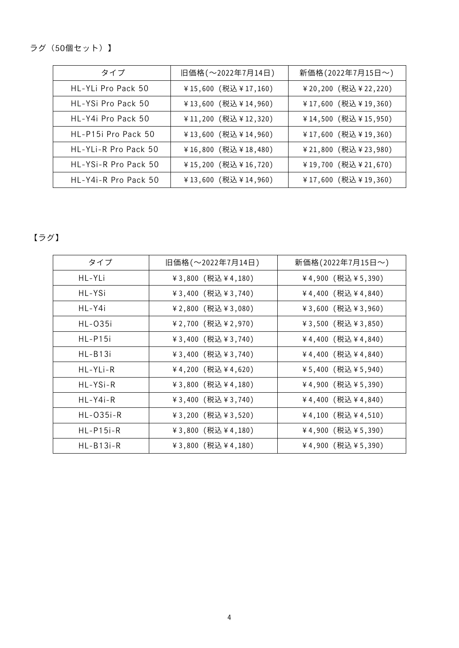ラグ(50個セット)】

| タイプ                   | 旧価格(~2022年7月14日)       | 新価格(2022年7月15日~)       |
|-----------------------|------------------------|------------------------|
| HI-YI i Pro Pack 50   | ¥15,600 (税込¥17,160)    | ¥ 20,200 (税込 ¥ 22,220) |
| HL-YSi Pro Pack 50    | ¥13,600 (税込 ¥14,960)   | ¥17,600 (税込¥19,360)    |
| HI-Y4i Pro Pack 50    | ¥11,200 (税込 ¥12,320)   | ¥14,500 (税込 ¥15,950)   |
| HI-P15i Pro Pack 50   | ¥13,600 (税込 ¥14,960)   | ¥17,600 (税込¥19,360)    |
| HI-YI i-R Pro Pack 50 | ¥ 16,800 (税込 ¥ 18,480) | ¥ 21,800 (税込 ¥ 23,980) |
| HI-YSi-R Pro Pack 50  | ¥15,200 (税込 ¥16,720)   | ¥19,700 (税込¥21,670)    |
| HL-Y4i-R Pro Pack 50  | ¥13,600 (税込¥14,960)    | ¥17,600 (税込¥19,360)    |

# 【ラグ】

| タイプ            | 旧価格 (~2022年7月14日)    | 新価格(2022年7月15日~)     |
|----------------|----------------------|----------------------|
| HL-YLi         | ¥ 3,800 (税込 ¥ 4,180) | ¥4,900 (税込¥5,390)    |
| HL-YSi         | ¥ 3,400 (税込 ¥ 3,740) | ¥4,400 (税込 ¥4,840)   |
| HL-Y4i         | ¥2,800 (税込¥3,080)    | ¥3,600 (税込¥3,960)    |
| <b>HL-035i</b> | ¥2,700 (税込 ¥2,970)   | ¥ 3,500 (税込 ¥ 3,850) |
| $HL-P15i$      | ¥ 3,400 (税込 ¥ 3,740) | ¥ 4,400 (税込 ¥ 4,840) |
| HL-B13i        | ¥ 3,400 (税込 ¥ 3,740) | ¥4,400 (税込¥4,840)    |
| HL-YLi-R       | ¥4,200 (税込¥4,620)    | ¥5,400 (税込¥5,940)    |
| HL-YSi-R       | ¥ 3,800 (税込 ¥ 4,180) | ¥4,900 (税込¥5,390)    |
| HL-Y4i-R       | ¥ 3,400 (税込 ¥ 3,740) | ¥ 4,400 (税込 ¥ 4,840) |
| $HL-035i-R$    | ¥3,200 (税込¥3,520)    | ¥ 4,100 (税込 ¥ 4,510) |
| $HL-P15i-R$    | ¥ 3,800 (税込 ¥ 4,180) | ¥4,900 (税込¥5,390)    |
| $HL-B13i-R$    | ¥3,800 (税込¥4,180)    | ¥4,900 (税込¥5,390)    |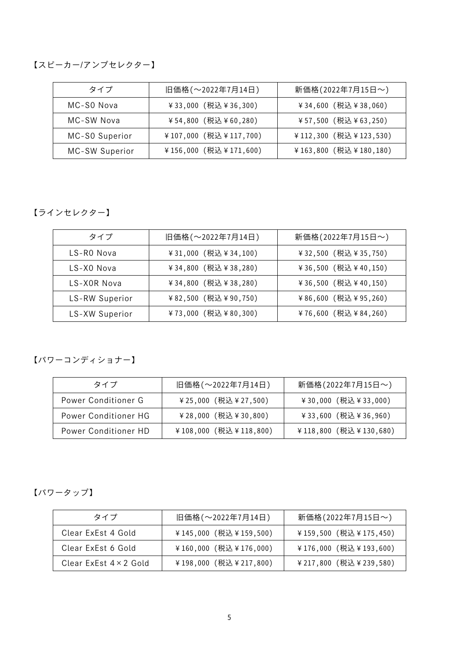### 【スピーカー/アンプセレクター】

| タイプ            | 旧価格(~2022年7月14日)       | 新価格(2022年7月15日~)       |
|----------------|------------------------|------------------------|
| MC-SO Nova     | ¥ 33,000 (税込 ¥ 36,300) | ¥ 34,600 (税込 ¥ 38,060) |
| MC-SW Nova     | ¥54,800 (税込¥60,280)    | ¥57,500 (税込¥63,250)    |
| MC-S0 Superior | ¥107,000 (税込¥117,700)  | ¥112,300 (税込¥123,530)  |
| MC-SW Superior | ¥156,000 (税込¥171,600)  | ¥163,800 (税込¥180,180)  |

【ラインセレクター】

| タイプ            | 旧価格(~2022年7月14日)       | 新価格(2022年7月15日~)       |
|----------------|------------------------|------------------------|
| LS-RO Nova     | ¥ 31,000 (税込 ¥ 34,100) | ¥ 32,500 (税込 ¥ 35,750) |
| LS-XO Nova     | ¥ 34,800 (税込 ¥ 38,280) | ¥ 36,500 (税込 ¥ 40,150) |
| LS-XOR Nova    | ¥ 34,800 (税込 ¥ 38,280) | ¥ 36,500 (税込 ¥ 40,150) |
| LS-RW Superior | ¥82,500 (税込¥90,750)    | ¥86,600 (税込¥95,260)    |
| LS-XW Superior | ¥73,000 (税込¥80,300)    | ¥76,600 (税込¥84,260)    |

【パワーコンディショナー】

| タイプ                  | 旧価格(~2022年7月14日)       | 新価格(2022年7月15日~)       |
|----------------------|------------------------|------------------------|
| Power Conditioner G  | ¥ 25,000 (税込 ¥ 27,500) | ¥ 30,000 (税込 ¥ 33,000) |
| Power Conditioner HG | ¥ 28,000 (税込 ¥ 30,800) | ¥ 33,600 (税込 ¥ 36,960) |
| Power Conditioner HD | ¥108,000 (税込¥118,800)  | ¥118,800 (税込¥130,680)  |

【パワータップ】

| タイプ                           | 旧価格(~2022年7月14日)      | 新価格(2022年7月15日~)         |
|-------------------------------|-----------------------|--------------------------|
| Clear ExEst 4 Gold            | ¥145,000 (税込¥159,500) | ¥159,500 (税込¥175,450)    |
| Clear ExEst 6 Gold            | ¥160,000 (税込¥176,000) | ¥176,000 (税込¥193,600)    |
| Clear ExEst $4 \times 2$ Gold | ¥198,000 (税込¥217,800) | ¥ 217,800 (税込 ¥ 239,580) |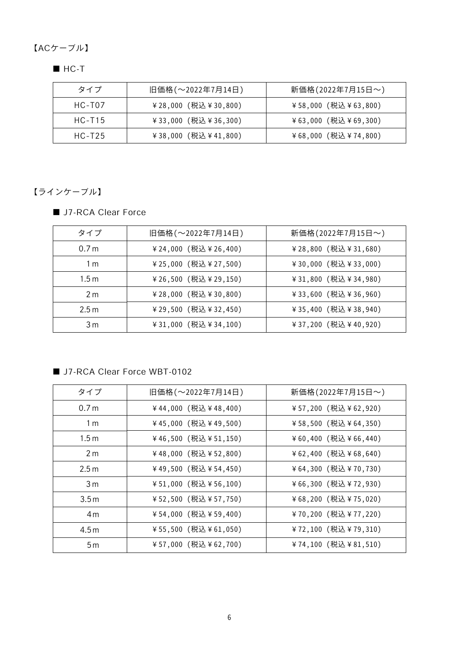【ACケーブル】

■ HC-T

| タイプ        | 旧価格(~2022年7月14日)       | 新価格(2022年7月15日~)    |
|------------|------------------------|---------------------|
| HC-T07     | ¥28,000 (税込¥30,800)    | ¥58,000 (税込¥63,800) |
| $HC - T15$ | ¥ 33,000 (税込 ¥ 36,300) | ¥63,000 (税込¥69,300) |
| HC-T25     | ¥38,000 (税込¥41,800)    | ¥68,000 (税込¥74,800) |

【ラインケーブル】

■ J7-RCA Clear Force

| タイプ              | 旧価格 (~2022年7月14日)      | 新価格(2022年7月15日~)       |
|------------------|------------------------|------------------------|
| 0.7 <sub>m</sub> | ¥ 24,000 (税込 ¥ 26,400) | ¥ 28,800 (税込 ¥ 31,680) |
| 1 <sub>m</sub>   | ¥ 25,000 (税込 ¥ 27,500) | ¥ 30,000 (税込 ¥ 33,000) |
| 1.5 <sub>m</sub> | ¥ 26,500 (税込 ¥ 29,150) | ¥ 31,800 (税込 ¥ 34,980) |
| 2 <sub>m</sub>   | ¥ 28,000 (税込 ¥ 30,800) | ¥33,600 (税込¥36,960)    |
| 2.5 m            | ¥ 29,500 (税込 ¥ 32,450) | ¥ 35,400 (税込 ¥ 38,940) |
| 3 m              | ¥ 31,000 (税込 ¥ 34,100) | ¥ 37,200 (税込 ¥ 40,920) |

#### ■ J7-RCA Clear Force WBT-0102

| タイプ              | 旧価格(~2022年7月14日)    | 新価格(2022年7月15日~)    |
|------------------|---------------------|---------------------|
| 0.7 <sub>m</sub> | ¥44,000 (税込¥48,400) | ¥57,200 (税込¥62,920) |
| 1 <sub>m</sub>   | ¥45,000 (税込¥49,500) | ¥58,500 (税込¥64,350) |
| 1.5 <sub>m</sub> | ¥46,500 (税込¥51,150) | ¥60,400 (税込¥66,440) |
| 2 <sub>m</sub>   | ¥48,000 (税込¥52,800) | ¥62,400 (税込¥68,640) |
| 2.5 <sub>m</sub> | ¥49,500 (税込¥54,450) | ¥64,300 (税込¥70,730) |
| 3 <sub>m</sub>   | ¥51,000 (税込¥56,100) | ¥66,300 (税込¥72,930) |
| 3.5m             | ¥52,500 (税込¥57,750) | ¥68,200 (税込¥75,020) |
| 4 <sub>m</sub>   | ¥54,000 (税込¥59,400) | ¥70,200 (税込¥77,220) |
| 4.5m             | ¥55,500 (税込¥61,050) | ¥72,100 (税込¥79,310) |
| 5 <sub>m</sub>   | ¥57,000 (税込¥62,700) | ¥74,100 (税込¥81,510) |